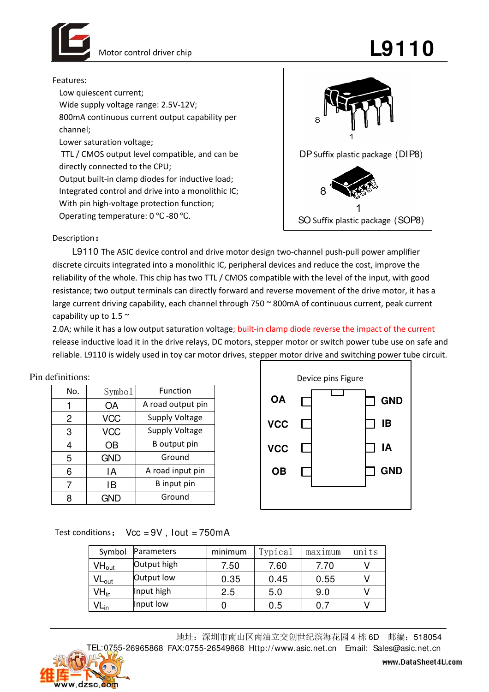

## Motor control driver chip  $\blacksquare$

Features:

Low quiescent current; Wide supply voltage range: 2.5V-12V; 800mA continuous current output capability per channel; Lower saturation voltage; TTL / CMOS output level compatible, and can be directly connected to the CPU; Output built-in clamp diodes for inductive load;

Integrated control and drive into a monolithic IC; With pin high-voltage protection function; Operating temperature: 0 ℃ -80 ℃.



Description:

L9110 The ASIC device control and drive motor design two-channel push-pull power amplifier discrete circuits integrated into a monolithic IC, peripheral devices and reduce the cost, improve the reliability of the whole. This chip has two TTL / CMOS compatible with the level of the input, with good resistance; two output terminals can directly forward and reverse movement of the drive motor, it has a large current driving capability, each channel through 750 ~ 800mA of continuous current, peak current capability up to 1.5  $\sim$ 

2.0A; while it has a low output saturation voltage; built-in clamp diode reverse the impact of the current release inductive load it in the drive relays, DC motors, stepper motor or switch power tube use on safe and reliable. L9110 is widely used in toy car motor drives, stepper motor drive and switching power tube circuit.

| Pin definitions: |  |  |
|------------------|--|--|
|------------------|--|--|

| No. | Symbol     | Function              |
|-----|------------|-----------------------|
|     | OA         | A road output pin     |
| 2   | <b>VCC</b> | <b>Supply Voltage</b> |
| 3   | <b>VCC</b> | <b>Supply Voltage</b> |
| 4   | OΒ         | B output pin          |
| 5   | <b>GND</b> | Ground                |
| 6   | ١A         | A road input pin      |
| 7   | ١B         | B input pin           |
| Я   | (HNF)      | Ground                |



Test conditions:  $Vcc = 9V$ , lout = 750mA

| Symbol                                | Parameters  | minimum | Typical | $max1$ mum | units |
|---------------------------------------|-------------|---------|---------|------------|-------|
| $\mathsf{V}\mathsf{H}_{\mathsf{out}}$ | Output high | 7.50    | 7.60    | 7.70       |       |
| $VL_{out}$                            | Output low  | 0.35    | 0.45    | 0.55       |       |
| $VH_{in}$                             | Input high  | 2.5     | 5.0     | 9.0        |       |
| VL <sub>in</sub>                      | Input low   |         | 0.5     | 0.7        |       |

地址:深圳市南山区南油立交创世纪滨海花园 4 栋 6D 邮编:518054